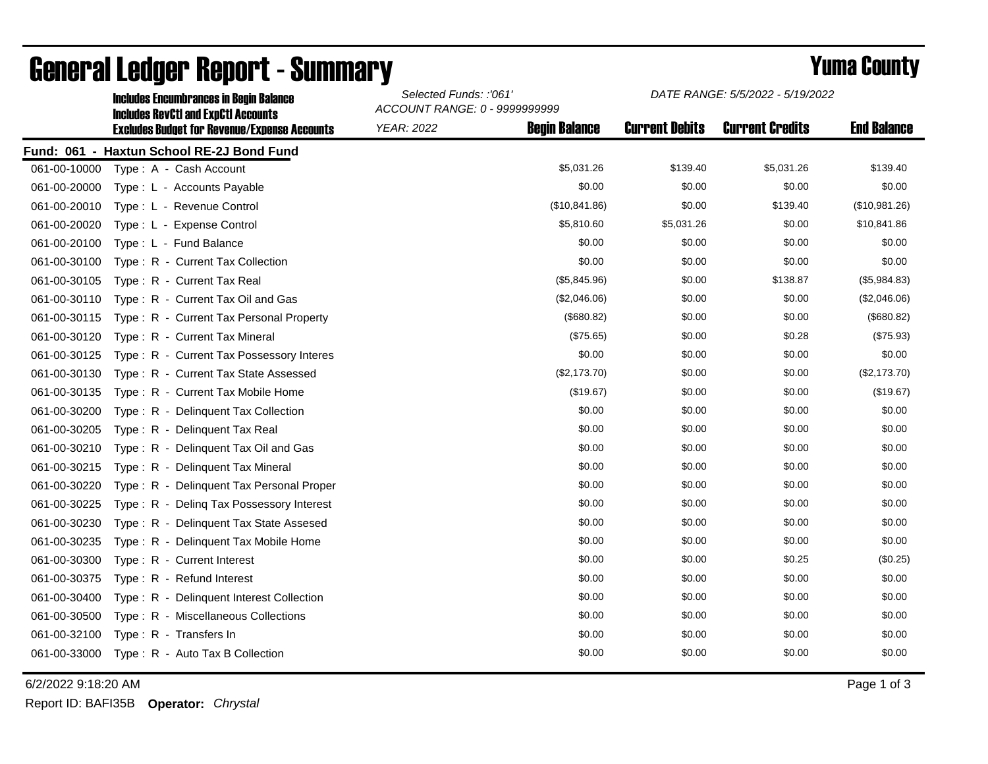|              | <b>Includes Encumbrances in Begin Balance</b>                                                     | Selected Funds: :'061'<br>ACCOUNT RANGE: 0 - 9999999999 |                      | DATE RANGE: 5/5/2022 - 5/19/2022 |                        |                    |
|--------------|---------------------------------------------------------------------------------------------------|---------------------------------------------------------|----------------------|----------------------------------|------------------------|--------------------|
|              | <b>Includes RevCtI and ExpCtI Accounts</b><br><b>Excludes Budget for Revenue/Expense Accounts</b> | <b>YEAR: 2022</b>                                       | <b>Begin Balance</b> | <b>Current Debits</b>            | <b>Current Credits</b> | <b>End Balance</b> |
|              | Fund: 061 - Haxtun School RE-2J Bond Fund                                                         |                                                         |                      |                                  |                        |                    |
| 061-00-10000 | Type: A - Cash Account                                                                            |                                                         | \$5,031.26           | \$139.40                         | \$5,031.26             | \$139.40           |
| 061-00-20000 | Type: L - Accounts Payable                                                                        |                                                         | \$0.00               | \$0.00                           | \$0.00                 | \$0.00             |
| 061-00-20010 | Type: L - Revenue Control                                                                         |                                                         | (\$10,841.86)        | \$0.00                           | \$139.40               | (\$10,981.26)      |
| 061-00-20020 | Type: L - Expense Control                                                                         |                                                         | \$5,810.60           | \$5,031.26                       | \$0.00                 | \$10,841.86        |
| 061-00-20100 | Type: L - Fund Balance                                                                            |                                                         | \$0.00               | \$0.00                           | \$0.00                 | \$0.00             |
| 061-00-30100 | Type: R - Current Tax Collection                                                                  |                                                         | \$0.00               | \$0.00                           | \$0.00                 | \$0.00             |
| 061-00-30105 | Type: R - Current Tax Real                                                                        |                                                         | (\$5,845.96)         | \$0.00                           | \$138.87               | (\$5,984.83)       |
| 061-00-30110 | Type: R - Current Tax Oil and Gas                                                                 |                                                         | (\$2,046.06)         | \$0.00                           | \$0.00                 | (\$2,046.06)       |
| 061-00-30115 | Type: R - Current Tax Personal Property                                                           |                                                         | (\$680.82)           | \$0.00                           | \$0.00                 | (\$680.82)         |
| 061-00-30120 | Type: R - Current Tax Mineral                                                                     |                                                         | (\$75.65)            | \$0.00                           | \$0.28                 | (\$75.93)          |
| 061-00-30125 | Type: R - Current Tax Possessory Interes                                                          |                                                         | \$0.00               | \$0.00                           | \$0.00                 | \$0.00             |
| 061-00-30130 | Type: R - Current Tax State Assessed                                                              |                                                         | (\$2,173.70)         | \$0.00                           | \$0.00                 | (\$2,173.70)       |
| 061-00-30135 | Type: R - Current Tax Mobile Home                                                                 |                                                         | (\$19.67)            | \$0.00                           | \$0.00                 | (\$19.67)          |
| 061-00-30200 | Type: R - Delinguent Tax Collection                                                               |                                                         | \$0.00               | \$0.00                           | \$0.00                 | \$0.00             |
| 061-00-30205 | Type: R - Delinquent Tax Real                                                                     |                                                         | \$0.00               | \$0.00                           | \$0.00                 | \$0.00             |
| 061-00-30210 | Type: R - Delinquent Tax Oil and Gas                                                              |                                                         | \$0.00               | \$0.00                           | \$0.00                 | \$0.00             |
| 061-00-30215 | Type: R - Delinquent Tax Mineral                                                                  |                                                         | \$0.00               | \$0.00                           | \$0.00                 | \$0.00             |
| 061-00-30220 | Type: R - Delinguent Tax Personal Proper                                                          |                                                         | \$0.00               | \$0.00                           | \$0.00                 | \$0.00             |
| 061-00-30225 | Type: R - Deling Tax Possessory Interest                                                          |                                                         | \$0.00               | \$0.00                           | \$0.00                 | \$0.00             |
| 061-00-30230 | Type: R - Delinquent Tax State Assesed                                                            |                                                         | \$0.00               | \$0.00                           | \$0.00                 | \$0.00             |
| 061-00-30235 | Type: R - Delinguent Tax Mobile Home                                                              |                                                         | \$0.00               | \$0.00                           | \$0.00                 | \$0.00             |
| 061-00-30300 | Type: R - Current Interest                                                                        |                                                         | \$0.00               | \$0.00                           | \$0.25                 | (\$0.25)           |
| 061-00-30375 | Type: R - Refund Interest                                                                         |                                                         | \$0.00               | \$0.00                           | \$0.00                 | \$0.00             |
| 061-00-30400 | Type: R - Delinquent Interest Collection                                                          |                                                         | \$0.00               | \$0.00                           | \$0.00                 | \$0.00             |
| 061-00-30500 | Type: R - Miscellaneous Collections                                                               |                                                         | \$0.00               | \$0.00                           | \$0.00                 | \$0.00             |
| 061-00-32100 | Type: R - Transfers In                                                                            |                                                         | \$0.00               | \$0.00                           | \$0.00                 | \$0.00             |
| 061-00-33000 | Type: R - Auto Tax B Collection                                                                   |                                                         | \$0.00               | \$0.00                           | \$0.00                 | \$0.00             |
|              |                                                                                                   |                                                         |                      |                                  |                        |                    |

## General Ledger Report - Summary **Selected Europe 2007 Contract Connect Server 5/5/2022**

6/2/2022 9:18:20 AM Page 1 of 3

Report ID: BAFI35B **Operator:** *Chrystal*

*DATE RANGE: 5/5/2022 - 5/19/2022*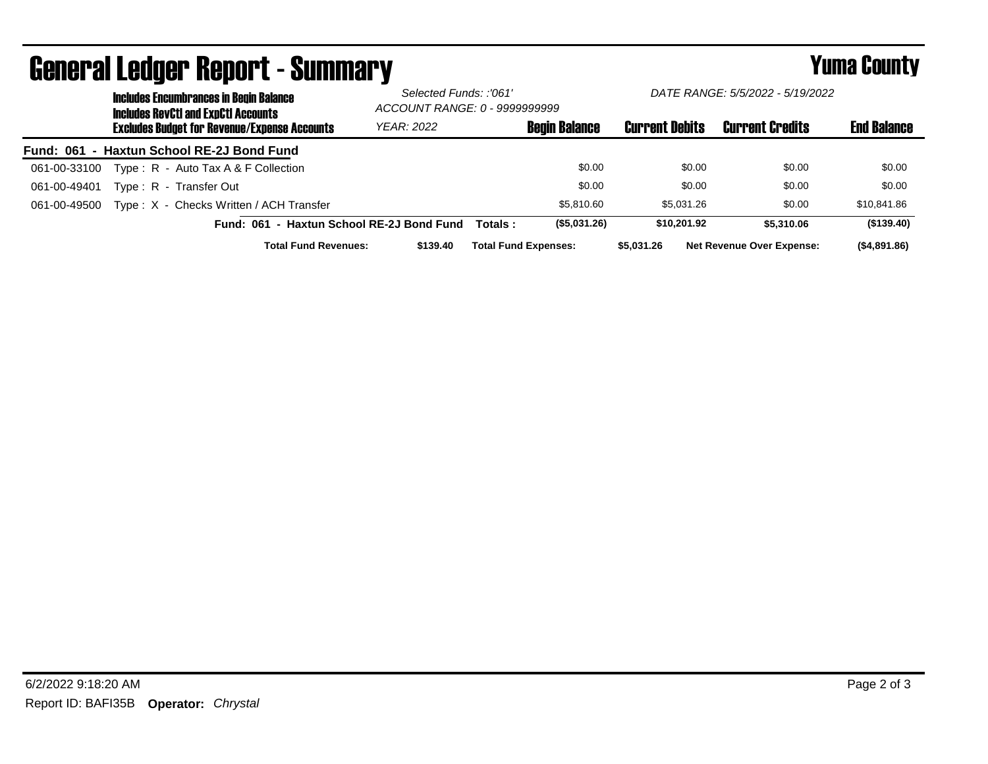|              | <b>Includes Encumbrances in Begin Balance</b><br><b>Includes RevCtI and ExpCtI Accounts</b> |                                           | Selected Funds: :'061'<br>ACCOUNT RANGE: 0 - 9999999999 |                      | DATE RANGE: 5/5/2022 - 5/19/2022 |                                  |                    |  |
|--------------|---------------------------------------------------------------------------------------------|-------------------------------------------|---------------------------------------------------------|----------------------|----------------------------------|----------------------------------|--------------------|--|
|              | <b>Excludes Budget for Revenue/Expense Accounts</b>                                         | YEAR: 2022                                |                                                         | <b>Begin Balance</b> | <b>Current Debits</b>            | <b>Current Credits</b>           | <b>End Balance</b> |  |
|              | Fund: 061 - Haxtun School RE-2J Bond Fund                                                   |                                           |                                                         |                      |                                  |                                  |                    |  |
| 061-00-33100 | Type: R - Auto Tax A & F Collection                                                         |                                           |                                                         | \$0.00               | \$0.00                           | \$0.00                           | \$0.00             |  |
| 061-00-49401 | Type: R - Transfer Out                                                                      |                                           |                                                         | \$0.00               | \$0.00                           | \$0.00                           | \$0.00             |  |
| 061-00-49500 | Type: X - Checks Written / ACH Transfer                                                     |                                           |                                                         | \$5.810.60           | \$5,031.26                       | \$0.00                           | \$10,841.86        |  |
|              |                                                                                             | Fund: 061 - Haxtun School RE-2J Bond Fund | Totals :                                                | (\$5,031.26)         | \$10,201.92                      | \$5,310.06                       | (\$139.40)         |  |
|              | <b>Total Fund Revenues:</b>                                                                 | \$139.40                                  | <b>Total Fund Expenses:</b>                             |                      | \$5,031.26                       | <b>Net Revenue Over Expense:</b> | (\$4,891.86)       |  |

## General Ledger Report - Summary **Secret Express 2008 Secret Proport** - Summary